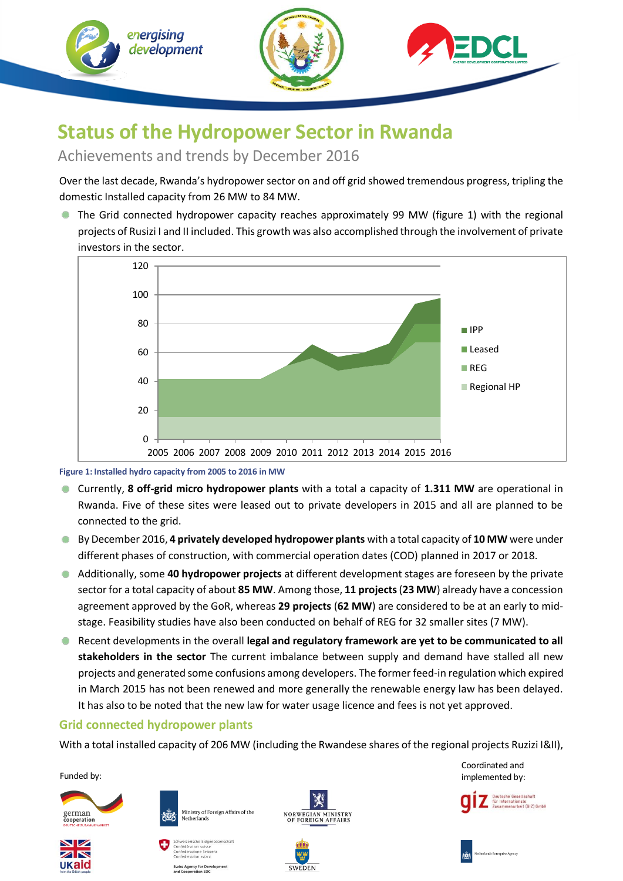

# **Status of the Hydropower Sector in Rwanda**

# Achievements and trends by December 2016

Over the last decade, Rwanda's hydropower sector on and off grid showed tremendous progress, tripling the domestic Installed capacity from 26 MW to 84 MW.

**•** The Grid connected hydropower capacity reaches approximately 99 MW (figure 1) with the regional projects of Rusizi I and II included. This growth was also accomplished through the involvement of private investors in the sector.



**Figure 1: Installed hydro capacity from 2005 to 2016 in MW**

- Currently, **8 off-grid micro hydropower plants** with a total a capacity of **1.311 MW** are operational in Rwanda. Five of these sites were leased out to private developers in 2015 and all are planned to be connected to the grid.
- By December 2016, **4 privately developed hydropower plants** with a total capacity of **10 MW** were under different phases of construction, with commercial operation dates (COD) planned in 2017 or 2018.
- Additionally, some **40 hydropower projects** at different development stages are foreseen by the private sector for a total capacity of about **85 MW**. Among those, **11 projects**(**23 MW**) already have a concession agreement approved by the GoR, whereas **29 projects** (**62 MW**) are considered to be at an early to midstage. Feasibility studies have also been conducted on behalf of REG for 32 smaller sites (7 MW).
- Recent developments in the overall **legal and regulatory framework are yet to be communicated to all stakeholders in the sector** The current imbalance between supply and demand have stalled all new projects and generated some confusions among developers. The former feed-in regulation which expired in March 2015 has not been renewed and more generally the renewable energy law has been delayed. It has also to be noted that the new law for water usage licence and fees is not yet approved.

## **Grid connected hydropower plants**

With a total installed capacity of 206 MW (including the Rwandese shares of the regional projects Ruzizi I&II),

Funded by:



 $\overline{\mathbf{Z}}\mathbf{N}$ **UKaid** 







Netherlands

Ministry of Foreign Affairs of the





Coordinated and implemented by:



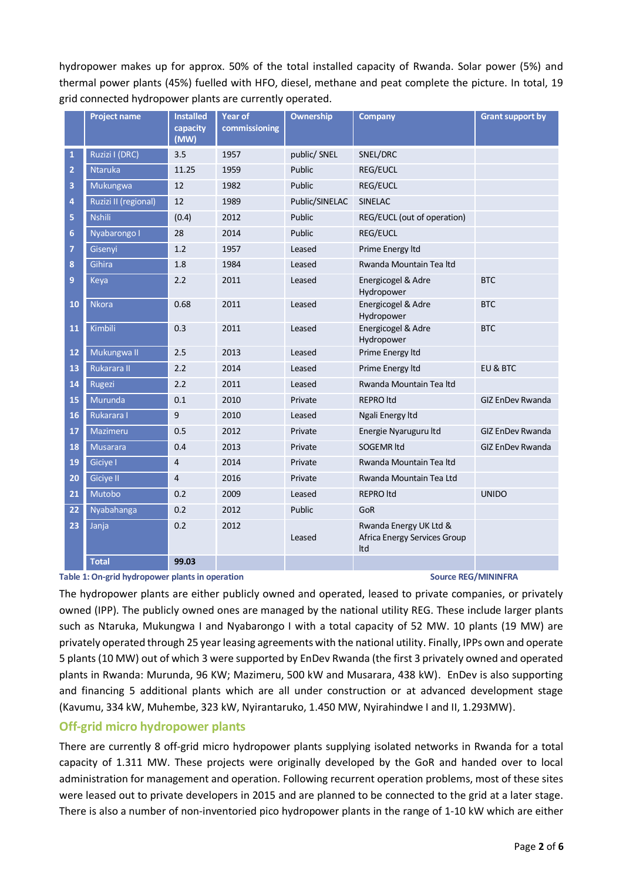hydropower makes up for approx. 50% of the total installed capacity of Rwanda. Solar power (5%) and thermal power plants (45%) fuelled with HFO, diesel, methane and peat complete the picture. In total, 19 grid connected hydropower plants are currently operated.

|                | <b>Project name</b>  | <b>Installed</b><br>capacity | <b>Year of</b><br>commissioning | <b>Ownership</b> | <b>Company</b>                                                | <b>Grant support by</b> |
|----------------|----------------------|------------------------------|---------------------------------|------------------|---------------------------------------------------------------|-------------------------|
|                |                      | (MW)                         |                                 |                  |                                                               |                         |
| 1              | Ruzizi I (DRC)       | 3.5                          | 1957                            | public/ SNEL     | SNEL/DRC                                                      |                         |
| $\overline{2}$ | <b>Ntaruka</b>       | 11.25                        | 1959                            | Public           | <b>REG/EUCL</b>                                               |                         |
| 3              | Mukungwa             | 12                           | 1982                            | Public           | <b>REG/EUCL</b>                                               |                         |
| $\overline{4}$ | Ruzizi II (regional) | 12                           | 1989                            | Public/SINELAC   | <b>SINELAC</b>                                                |                         |
| 5              | <b>Nshili</b>        | (0.4)                        | 2012                            | Public           | REG/EUCL (out of operation)                                   |                         |
| 6              | Nyabarongo I         | 28                           | 2014                            | Public           | <b>REG/EUCL</b>                                               |                         |
| $\overline{7}$ | Gisenyi              | 1.2                          | 1957                            | Leased           | Prime Energy Itd                                              |                         |
| 8              | Gihira               | 1.8                          | 1984                            | Leased           | Rwanda Mountain Tea Itd                                       |                         |
| 9              | Keya                 | 2.2                          | 2011                            | Leased           | Energicogel & Adre<br>Hydropower                              | <b>BTC</b>              |
| 10             | <b>Nkora</b>         | 0.68                         | 2011                            | Leased           | Energicogel & Adre<br>Hydropower                              | <b>BTC</b>              |
| 11             | Kimbili              | 0.3                          | 2011                            | Leased           | Energicogel & Adre<br>Hydropower                              | <b>BTC</b>              |
| 12             | Mukungwa II          | 2.5                          | 2013                            | Leased           | Prime Energy Itd                                              |                         |
| 13             | Rukarara II          | 2.2                          | 2014                            | Leased           | Prime Energy Itd                                              | EU & BTC                |
| 14             | Rugezi               | 2.2                          | 2011                            | Leased           | Rwanda Mountain Tea Itd                                       |                         |
| 15             | Murunda              | 0.1                          | 2010                            | Private          | <b>REPRO Itd</b>                                              | GIZ EnDev Rwanda        |
| 16             | Rukarara I           | 9                            | 2010                            | Leased           | Ngali Energy Itd                                              |                         |
| 17             | Mazimeru             | 0.5                          | 2012                            | Private          | Energie Nyaruguru Itd                                         | <b>GIZ EnDev Rwanda</b> |
| 18             | <b>Musarara</b>      | 0.4                          | 2013                            | Private          | <b>SOGEMR Itd</b>                                             | <b>GIZ EnDev Rwanda</b> |
| 19             | Giciye I             | $\overline{4}$               | 2014                            | Private          | Rwanda Mountain Tea Itd                                       |                         |
| 20             | Giciye II            | 4                            | 2016                            | Private          | Rwanda Mountain Tea Ltd                                       |                         |
| 21             | Mutobo               | 0.2                          | 2009                            | Leased           | <b>REPRO Itd</b>                                              | <b>UNIDO</b>            |
| 22             | Nyabahanga           | 0.2                          | 2012                            | Public           | GoR                                                           |                         |
| 23             | Janja                | 0.2                          | 2012                            | Leased           | Rwanda Energy UK Ltd &<br>Africa Energy Services Group<br>Itd |                         |
|                | <b>Total</b>         | 99.03                        |                                 |                  |                                                               |                         |

Table 1: On-grid hydropower plants in operation Source REG/MININFRA

The hydropower plants are either publicly owned and operated, leased to private companies, or privately owned (IPP). The publicly owned ones are managed by the national utility REG. These include larger plants such as Ntaruka, Mukungwa I and Nyabarongo I with a total capacity of 52 MW. 10 plants (19 MW) are privately operated through 25 year leasing agreements with the national utility. Finally, IPPs own and operate 5 plants (10 MW) out of which 3 were supported by EnDev Rwanda (the first 3 privately owned and operated plants in Rwanda: Murunda, 96 KW; Mazimeru, 500 kW and Musarara, 438 kW). EnDev is also supporting and financing 5 additional plants which are all under construction or at advanced development stage (Kavumu, 334 kW, Muhembe, 323 kW, Nyirantaruko, 1.450 MW, Nyirahindwe I and II, 1.293MW).

### **Off-grid micro hydropower plants**

There are currently 8 off-grid micro hydropower plants supplying isolated networks in Rwanda for a total capacity of 1.311 MW. These projects were originally developed by the GoR and handed over to local administration for management and operation. Following recurrent operation problems, most of these sites were leased out to private developers in 2015 and are planned to be connected to the grid at a later stage. There is also a number of non-inventoried pico hydropower plants in the range of 1-10 kW which are either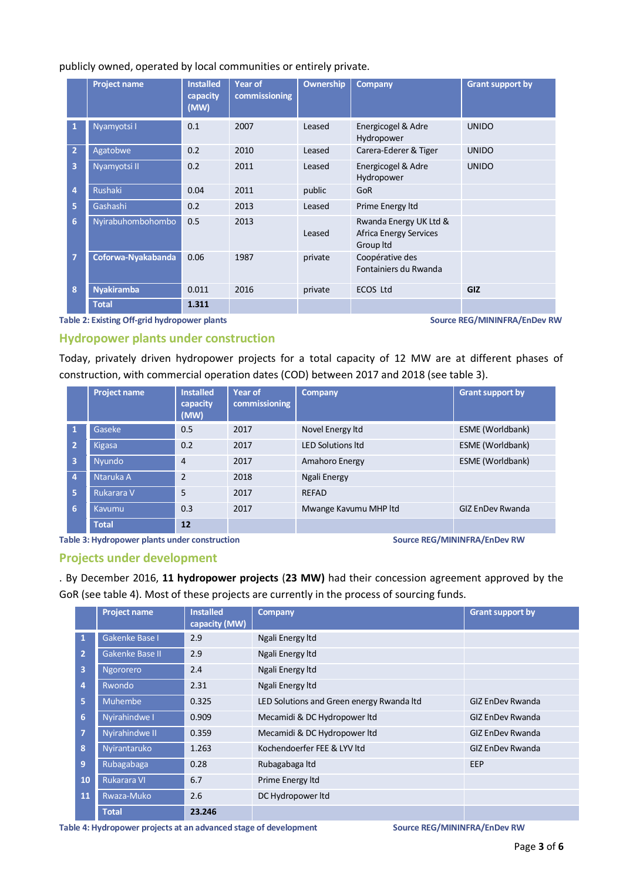#### publicly owned, operated by local communities or entirely private.

|                         | <b>Project name</b> | <b>Installed</b><br>capacity<br>(MW) | Year of<br>commissioning | <b>Ownership</b> | <b>Company</b>                                                       | <b>Grant support by</b> |
|-------------------------|---------------------|--------------------------------------|--------------------------|------------------|----------------------------------------------------------------------|-------------------------|
| 1                       | Nyamyotsi I         | 0.1                                  | 2007                     | Leased           | Energicogel & Adre<br>Hydropower                                     | <b>UNIDO</b>            |
| $\overline{2}$          | Agatobwe            | 0.2                                  | 2010                     | Leased           | Carera-Ederer & Tiger                                                | <b>UNIDO</b>            |
| $\overline{\mathbf{3}}$ | Nyamyotsi II        | 0.2                                  | 2011                     | Leased           | Energicogel & Adre<br>Hydropower                                     | <b>UNIDO</b>            |
| $\overline{4}$          | <b>Rushaki</b>      | 0.04                                 | 2011                     | public           | GoR                                                                  |                         |
| 5                       | Gashashi            | 0.2                                  | 2013                     | Leased           | Prime Energy Itd                                                     |                         |
| 6                       | Nyirabuhombohombo   | 0.5                                  | 2013                     | Leased           | Rwanda Energy UK Ltd &<br><b>Africa Energy Services</b><br>Group Itd |                         |
| $\overline{7}$          | Coforwa-Nyakabanda  | 0.06                                 | 1987                     | private          | Coopérative des<br>Fontainiers du Rwanda                             |                         |
| 8                       | <b>Nyakiramba</b>   | 0.011                                | 2016                     | private          | <b>ECOS Ltd</b>                                                      | GIZ                     |
|                         | <b>Total</b>        | 1.311                                |                          |                  |                                                                      |                         |

#### **Table 2: Existing Off-grid hydropower plants Source REG/MININFRA/EnDev RW**

#### **Hydropower plants under construction**

Today, privately driven hydropower projects for a total capacity of 12 MW are at different phases of construction, with commercial operation dates (COD) between 2017 and 2018 (see table 3).

|                         | <b>Project name</b> | <b>Installed</b><br>capacity<br>(MW) | Year of<br>commissioning | <b>Company</b>           | <b>Grant support by</b> |
|-------------------------|---------------------|--------------------------------------|--------------------------|--------------------------|-------------------------|
|                         | Gaseke              | 0.5                                  | 2017                     | Novel Energy Itd         | ESME (Worldbank)        |
| $\overline{2}$          | <b>Kigasa</b>       | 0.2                                  | 2017                     | <b>LED Solutions Itd</b> | ESME (Worldbank)        |
| $\overline{\mathbf{3}}$ | Nyundo              | $\overline{4}$                       | 2017                     | Amahoro Energy           | ESME (Worldbank)        |
| $\overline{4}$          | Ntaruka A           | $\overline{2}$                       | 2018                     | Ngali Energy             |                         |
| 5                       | Rukarara V          | 5                                    | 2017                     | <b>REFAD</b>             |                         |
| 6                       | Kavumu              | 0.3                                  | 2017                     | Mwange Kavumu MHP Itd    | <b>GIZ EnDev Rwanda</b> |
|                         | <b>Total</b>        | 12                                   |                          |                          |                         |

**Table 3: Hydropower plants under construction Source REG/MININFRA/EnDev RW**

#### **Projects under development**

. By December 2016, **11 hydropower projects** (**23 MW)** had their concession agreement approved by the GoR (see table 4). Most of these projects are currently in the process of sourcing funds.

|                | <b>Project name</b> | <b>Installed</b><br>capacity (MW) | <b>Company</b>                            | <b>Grant support by</b> |
|----------------|---------------------|-----------------------------------|-------------------------------------------|-------------------------|
| 1              | Gakenke Base I      | 2.9                               | Ngali Energy Itd                          |                         |
| $\overline{2}$ | Gakenke Base II     | 2.9                               | Ngali Energy Itd                          |                         |
| 3              | Ngororero           | 2.4                               | Ngali Energy Itd                          |                         |
| 4              | Rwondo              | 2.31                              | Ngali Energy Itd                          |                         |
| 5              | <b>Muhembe</b>      | 0.325                             | LED Solutions and Green energy Rwanda Itd | <b>GIZ EnDev Rwanda</b> |
| 6              | Nyirahindwe I       | 0.909                             | Mecamidi & DC Hydropower ltd              | <b>GIZ EnDev Rwanda</b> |
| $\overline{7}$ | Nyirahindwe II      | 0.359                             | Mecamidi & DC Hydropower ltd              | <b>GIZ EnDev Rwanda</b> |
| 8              | Nyirantaruko        | 1.263                             | Kochendoerfer FEE & LYV Itd               | <b>GIZ EnDev Rwanda</b> |
| 9              | Rubagabaga          | 0.28                              | Rubagabaga Itd                            | EEP                     |
| 10             | <b>Rukarara VI</b>  | 6.7                               | Prime Energy Itd                          |                         |
| 11             | Rwaza-Muko          | 2.6                               | DC Hydropower ltd                         |                         |
|                | <b>Total</b>        | 23.246                            |                                           |                         |

**Table 4: Hydropower projects at an advanced stage of development Source REG/MININFRA/EnDev RW**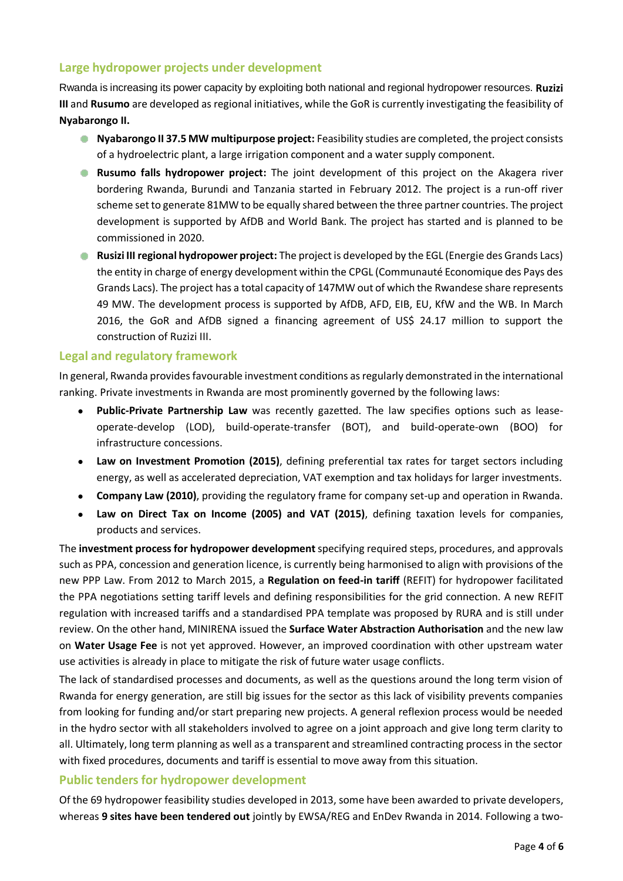## **Large hydropower projects under development**

Rwanda is increasing its power capacity by exploiting both national and regional hydropower resources. **Ruzizi III** and **Rusumo** are developed as regional initiatives, while the GoR is currently investigating the feasibility of **Nyabarongo II.**

- **Nyabarongo II 37.5 MW multipurpose project:** Feasibility studies are completed, the project consists of a hydroelectric plant, a large irrigation component and a water supply component.
- **Rusumo falls hydropower project:** The joint development of this project on the Akagera river bordering Rwanda, Burundi and Tanzania started in February 2012. The project is a run-off river scheme set to generate 81MW to be equally shared between the three partner countries. The project development is supported by AfDB and World Bank. The project has started and is planned to be commissioned in 2020.
- **Rusizi III regional hydropower project:** The project is developed by the EGL (Energie des Grands Lacs) ٠ the entity in charge of energy development within the CPGL (Communauté Economique des Pays des Grands Lacs). The project has a total capacity of 147MW out of which the Rwandese share represents 49 MW. The development process is supported by AfDB, AFD, EIB, EU, KfW and the WB. In March 2016, the GoR and AfDB signed a financing agreement of US\$ 24.17 million to support the construction of Ruzizi III.

#### **Legal and regulatory framework**

In general, Rwanda provides favourable investment conditions as regularly demonstrated in the international ranking. Private investments in Rwanda are most prominently governed by the following laws:

- **Public-Private Partnership Law** was recently gazetted. The law specifies options such as leaseoperate-develop (LOD), build-operate-transfer (BOT), and build-operate-own (BOO) for infrastructure concessions.
- **Law on Investment Promotion (2015)**, defining preferential tax rates for target sectors including energy, as well as accelerated depreciation, VAT exemption and tax holidays for larger investments.
- **Company Law (2010)**, providing the regulatory frame for company set-up and operation in Rwanda.
- **Law on Direct Tax on Income (2005) and VAT (2015)**, defining taxation levels for companies, products and services.

The **investment process for hydropower development**specifying required steps, procedures, and approvals such as PPA, concession and generation licence, is currently being harmonised to align with provisions of the new PPP Law. From 2012 to March 2015, a **Regulation on feed-in tariff** (REFIT) for hydropower facilitated the PPA negotiations setting tariff levels and defining responsibilities for the grid connection. A new REFIT regulation with increased tariffs and a standardised PPA template was proposed by RURA and is still under review. On the other hand, MINIRENA issued the **Surface Water Abstraction Authorisation** and the new law on **Water Usage Fee** is not yet approved. However, an improved coordination with other upstream water use activities is already in place to mitigate the risk of future water usage conflicts.

The lack of standardised processes and documents, as well as the questions around the long term vision of Rwanda for energy generation, are still big issues for the sector as this lack of visibility prevents companies from looking for funding and/or start preparing new projects. A general reflexion process would be needed in the hydro sector with all stakeholders involved to agree on a joint approach and give long term clarity to all. Ultimately, long term planning as well as a transparent and streamlined contracting process in the sector with fixed procedures, documents and tariff is essential to move away from this situation.

### **Public tenders for hydropower development**

Of the 69 hydropower feasibility studies developed in 2013, some have been awarded to private developers, whereas **9 sites have been tendered out** jointly by EWSA/REG and EnDev Rwanda in 2014. Following a two-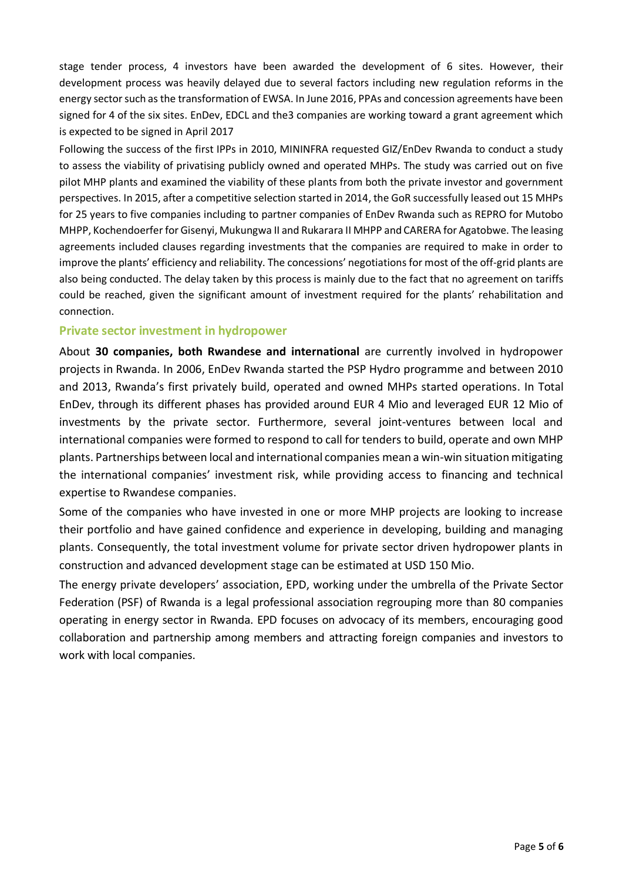stage tender process, 4 investors have been awarded the development of 6 sites. However, their development process was heavily delayed due to several factors including new regulation reforms in the energy sector such as the transformation of EWSA. In June 2016, PPAs and concession agreements have been signed for 4 of the six sites. EnDev, EDCL and the3 companies are working toward a grant agreement which is expected to be signed in April 2017

Following the success of the first IPPs in 2010, MININFRA requested GIZ/EnDev Rwanda to conduct a study to assess the viability of privatising publicly owned and operated MHPs. The study was carried out on five pilot MHP plants and examined the viability of these plants from both the private investor and government perspectives. In 2015, after a competitive selection started in 2014, the GoR successfully leased out 15 MHPs for 25 years to five companies including to partner companies of EnDev Rwanda such as REPRO for Mutobo MHPP, Kochendoerfer for Gisenyi, Mukungwa II and Rukarara II MHPP and CARERA for Agatobwe. The leasing agreements included clauses regarding investments that the companies are required to make in order to improve the plants' efficiency and reliability. The concessions' negotiations for most of the off-grid plants are also being conducted. The delay taken by this process is mainly due to the fact that no agreement on tariffs could be reached, given the significant amount of investment required for the plants' rehabilitation and connection.

#### **Private sector investment in hydropower**

About **30 companies, both Rwandese and international** are currently involved in hydropower projects in Rwanda. In 2006, EnDev Rwanda started the PSP Hydro programme and between 2010 and 2013, Rwanda's first privately build, operated and owned MHPs started operations. In Total EnDev, through its different phases has provided around EUR 4 Mio and leveraged EUR 12 Mio of investments by the private sector. Furthermore, several joint-ventures between local and international companies were formed to respond to call for tenders to build, operate and own MHP plants. Partnerships between local and international companies mean a win-win situation mitigating the international companies' investment risk, while providing access to financing and technical expertise to Rwandese companies.

Some of the companies who have invested in one or more MHP projects are looking to increase their portfolio and have gained confidence and experience in developing, building and managing plants. Consequently, the total investment volume for private sector driven hydropower plants in construction and advanced development stage can be estimated at USD 150 Mio.

The energy private developers' association, EPD, working under the umbrella of the Private Sector Federation (PSF) of Rwanda is a legal professional association regrouping more than 80 companies operating in energy sector in Rwanda. EPD focuses on advocacy of its members, encouraging good collaboration and partnership among members and attracting foreign companies and investors to work with local companies.